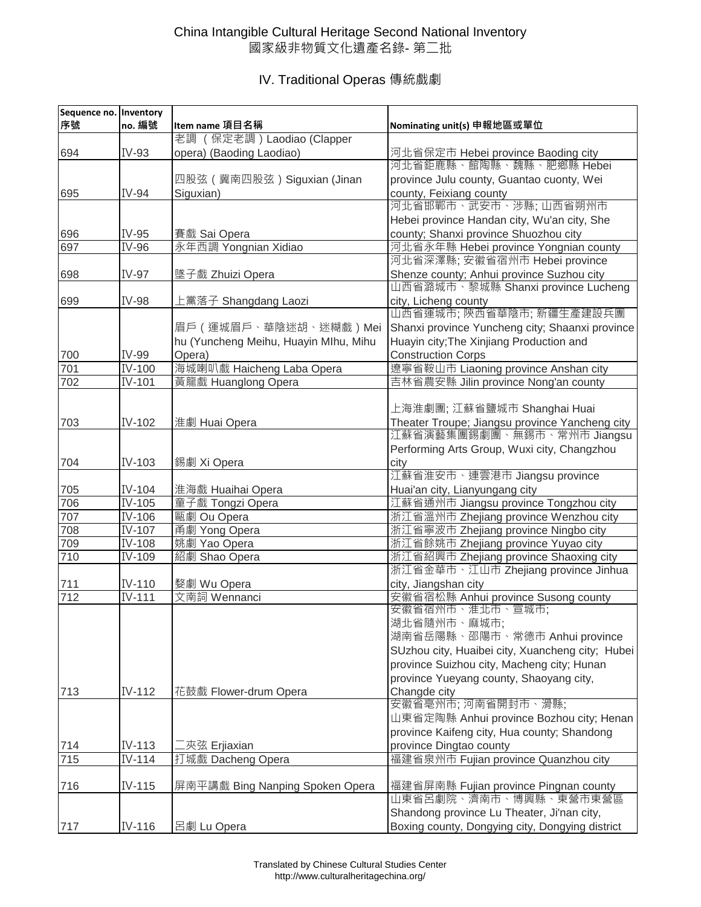## China Intangible Cultural Heritage Second National Inventory 國家級非物質文化遺產名錄- 第二批

## IV. Traditional Operas 傳統戲劇

| Sequence no. Inventory |                            |                                       |                                                  |
|------------------------|----------------------------|---------------------------------------|--------------------------------------------------|
| 序號                     | no. 編號                     | Item name 項目名稱                        | Nominating unit(s) 申報地區或單位                       |
|                        |                            | 老調 (保定老調) Laodiao (Clapper            |                                                  |
| 694                    | IV-93                      | opera) (Baoding Laodiao)              | 河北省保定市 Hebei province Baoding city               |
|                        |                            |                                       | 河北省鉅鹿縣、館陶縣、魏縣、肥鄉縣 Hebei                          |
|                        |                            | 四股弦 ( 冀南四股弦 ) Siguxian (Jinan         | province Julu county, Guantao cuonty, Wei        |
| 695                    | IV-94                      | Siguxian)                             | county, Feixiang county                          |
|                        |                            |                                       | 河北省邯鄲市、武安市、涉縣; 山西省朔州市                            |
|                        |                            |                                       | Hebei province Handan city, Wu'an city, She      |
| 696                    | IV-95                      | 賽戲 Sai Opera                          | county; Shanxi province Shuozhou city            |
| 697                    | IV-96                      | 永年西調 Yongnian Xidiao                  | 河北省永年縣 Hebei province Yongnian county            |
|                        |                            |                                       | 河北省深澤縣; 安徽省宿州市 Hebei province                    |
| 698                    | IV-97                      | 墜子戲 Zhuizi Opera                      | Shenze county; Anhui province Suzhou city        |
|                        |                            |                                       | 山西省潞城市、黎城縣 Shanxi province Lucheng               |
| 699                    | <b>IV-98</b>               | 上黨落子 Shangdang Laozi                  | city, Licheng county                             |
|                        |                            |                                       | 山西省運城市; 陝西省華陰市; 新疆生產建設兵團                         |
|                        |                            | 眉戶 (運城眉戶、華陰迷胡、迷糊戲)Mei                 | Shanxi province Yuncheng city; Shaanxi province  |
|                        |                            | hu (Yuncheng Meihu, Huayin Mlhu, Mihu | Huayin city; The Xinjiang Production and         |
| 700                    | IV-99                      | Opera)                                | <b>Construction Corps</b>                        |
| 701                    | IV-100                     | 海城喇叭戲 Haicheng Laba Opera             | 遼寧省鞍山市 Liaoning province Anshan city             |
| 702                    | IV-101                     | 黃龍戲 Huanglong Opera                   | 吉林省農安縣 Jilin province Nong'an county             |
|                        |                            |                                       |                                                  |
|                        |                            |                                       | 上海淮劇團; 江蘇省鹽城市 Shanghai Huai                      |
| 703                    | IV-102                     | 淮劇 Huai Opera                         | Theater Troupe; Jiangsu province Yancheng city   |
|                        |                            |                                       | 江蘇省演藝集團錫劇團、無錫市、常州市 Jiangsu                       |
|                        |                            |                                       | Performing Arts Group, Wuxi city, Changzhou      |
| 704                    | IV-103                     | 錫劇 Xi Opera                           | city                                             |
|                        |                            |                                       | 江蘇省淮安市、連雲港市 Jiangsu province                     |
| 705                    | IV-104                     | 淮海戲 Huaihai Opera                     | Huai'an city, Lianyungang city                   |
| 706                    | IV-105                     | 童子戲 Tongzi Opera                      | 江蘇省通州市 Jiangsu province Tongzhou city            |
| 707                    | $\overline{\text{IV-}}106$ | 甌劇 Ou Opera                           | 浙江省溫州市 Zhejiang province Wenzhou city            |
| 708                    | IV-107                     | 甬劇 Yong Opera                         | 浙江省寧波市 Zhejiang province Ningbo city             |
| 709                    | IV-108                     | 姚劇 Yao Opera                          | 浙江省餘姚市 Zhejiang province Yuyao city              |
| 710                    | IV-109                     | 紹劇 Shao Opera                         | 浙江省紹興市 Zhejiang province Shaoxing city           |
|                        |                            |                                       | 浙江省金華市、江山市 Zhejiang province Jinhua              |
| 711                    | IV-110                     | 婺劇 Wu Opera                           | city, Jiangshan city                             |
| 712                    | IV-111                     | 文南詞 Wennanci                          | 安徽省宿松縣 Anhui province Susong county              |
|                        |                            |                                       | 安徽省宿州市、淮北市、宣城市;                                  |
|                        |                            |                                       | 湖北省隨州市、麻城市;                                      |
|                        |                            |                                       | 湖南省岳陽縣、邵陽市、常德市 Anhui province                    |
|                        |                            |                                       | SUzhou city, Huaibei city, Xuancheng city; Hubei |
|                        |                            |                                       | province Suizhou city, Macheng city; Hunan       |
|                        |                            |                                       | province Yueyang county, Shaoyang city,          |
| 713                    | IV-112                     | 花鼓戲 Flower-drum Opera                 | Changde city                                     |
|                        |                            |                                       | 安徽省亳州市;河南省開封市、滑縣;                                |
|                        |                            |                                       | 山東省定陶縣 Anhui province Bozhou city; Henan         |
|                        |                            |                                       | province Kaifeng city, Hua county; Shandong      |
| 714                    | IV-113                     | 夾弦 Erjiaxian                          | province Dingtao county                          |
| 715                    | IV-114                     | 打城戲 Dacheng Opera                     | 福建省泉州市 Fujian province Quanzhou city             |
|                        |                            |                                       |                                                  |
| 716                    | IV-115                     | 屏南平講戲 Bing Nanping Spoken Opera       | 福建省屏南縣 Fujian province Pingnan county            |
|                        |                            |                                       | 山東省呂劇院、濟南市、博興縣、東營市東營區                            |
|                        |                            |                                       | Shandong province Lu Theater, Ji'nan city,       |
| 717                    | IV-116                     | 呂劇 Lu Opera                           | Boxing county, Dongying city, Dongying district  |